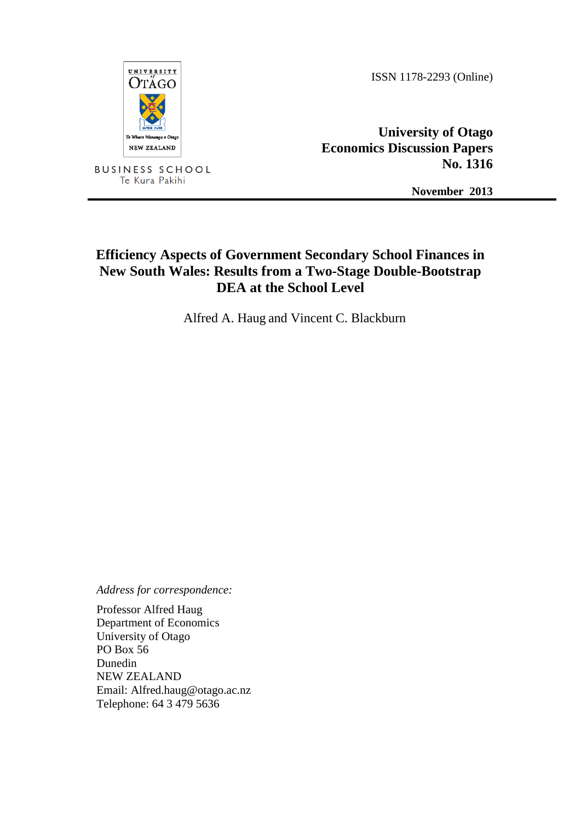

ISSN 1178-2293 (Online)

**University of Otago Economics Discussion Papers No. 1316**

**November 2013**

# **Efficiency Aspects of Government Secondary School Finances in New South Wales: Results from a Two-Stage Double-Bootstrap DEA at the School Level**

Alfred A. Haug and Vincent C. Blackburn

*Address for correspondence:*

Professor Alfred Haug Department of Economics University of Otago PO Box 56 Dunedin NEW ZEALAND Email: Alfred.haug@otago.ac.nz Telephone: 64 3 479 5636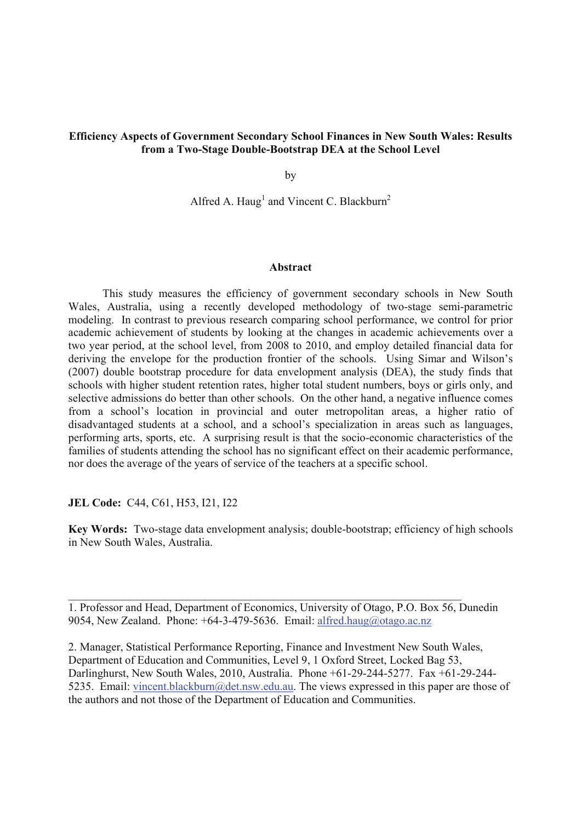# **Efficiency Aspects of Government Secondary School Finances in New South Wales: Results from a Two-Stage Double-Bootstrap DEA at the School Level**

by

Alfred A. Haug<sup>1</sup> and Vincent C. Blackburn<sup>2</sup>

#### **Abstract**

This study measures the efficiency of government secondary schools in New South Wales, Australia, using a recently developed methodology of two-stage semi-parametric modeling. In contrast to previous research comparing school performance, we control for prior academic achievement of students by looking at the changes in academic achievements over a two year period, at the school level, from 2008 to 2010, and employ detailed financial data for deriving the envelope for the production frontier of the schools. Using Simar and Wilson's (2007) double bootstrap procedure for data envelopment analysis (DEA), the study finds that schools with higher student retention rates, higher total student numbers, boys or girls only, and selective admissions do better than other schools. On the other hand, a negative influence comes from a school's location in provincial and outer metropolitan areas, a higher ratio of disadvantaged students at a school, and a school's specialization in areas such as languages, performing arts, sports, etc. A surprising result is that the socio-economic characteristics of the families of students attending the school has no significant effect on their academic performance, nor does the average of the years of service of the teachers at a specific school.

**JEL Code:** C44, C61, H53, I21, I22

**Key Words:** Two-stage data envelopment analysis; double-bootstrap; efficiency of high schools in New South Wales, Australia.

1. Professor and Head, Department of Economics, University of Otago, P.O. Box 56, Dunedin 9054, New Zealand. Phone: +64-3-479-5636. Email: alfred.haug@otago.ac.nz

 $\_$  , and the contribution of the contribution of  $\mathcal{L}_\mathcal{A}$  , and the contribution of  $\mathcal{L}_\mathcal{A}$ 

2. Manager, Statistical Performance Reporting, Finance and Investment New South Wales, Department of Education and Communities, Level 9, 1 Oxford Street, Locked Bag 53, Darlinghurst, New South Wales, 2010, Australia. Phone +61-29-244-5277. Fax +61-29-244- 5235. Email: vincent.blackburn@det.nsw.edu.au. The views expressed in this paper are those of the authors and not those of the Department of Education and Communities.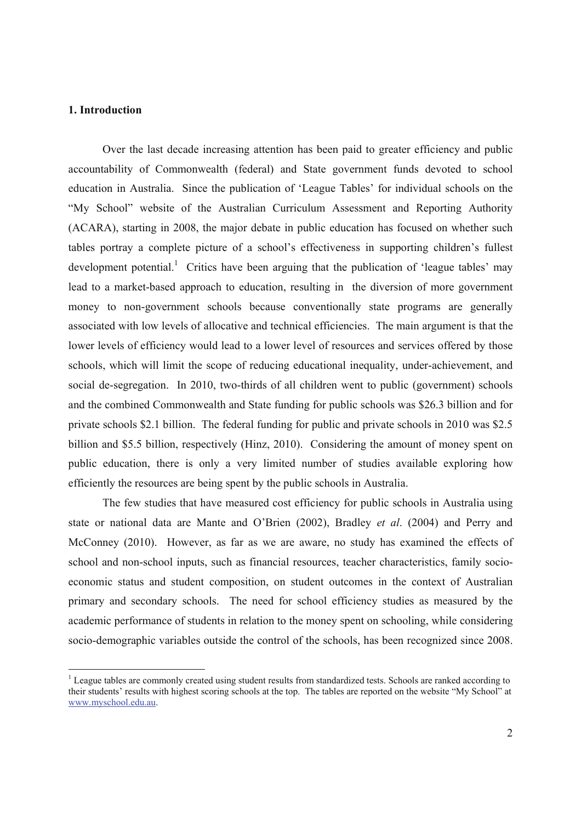#### **1. Introduction**

-

Over the last decade increasing attention has been paid to greater efficiency and public accountability of Commonwealth (federal) and State government funds devoted to school education in Australia. Since the publication of 'League Tables' for individual schools on the "My School" website of the Australian Curriculum Assessment and Reporting Authority (ACARA), starting in 2008, the major debate in public education has focused on whether such tables portray a complete picture of a school's effectiveness in supporting children's fullest development potential.<sup>1</sup> Critics have been arguing that the publication of 'league tables' may lead to a market-based approach to education, resulting in the diversion of more government money to non-government schools because conventionally state programs are generally associated with low levels of allocative and technical efficiencies. The main argument is that the lower levels of efficiency would lead to a lower level of resources and services offered by those schools, which will limit the scope of reducing educational inequality, under-achievement, and social de-segregation. In 2010, two-thirds of all children went to public (government) schools and the combined Commonwealth and State funding for public schools was \$26.3 billion and for private schools \$2.1 billion. The federal funding for public and private schools in 2010 was \$2.5 billion and \$5.5 billion, respectively (Hinz, 2010). Considering the amount of money spent on public education, there is only a very limited number of studies available exploring how efficiently the resources are being spent by the public schools in Australia.

The few studies that have measured cost efficiency for public schools in Australia using state or national data are Mante and O'Brien (2002), Bradley *et al*. (2004) and Perry and McConney (2010). However, as far as we are aware, no study has examined the effects of school and non-school inputs, such as financial resources, teacher characteristics, family socioeconomic status and student composition, on student outcomes in the context of Australian primary and secondary schools. The need for school efficiency studies as measured by the academic performance of students in relation to the money spent on schooling, while considering socio-demographic variables outside the control of the schools, has been recognized since 2008.

<sup>&</sup>lt;sup>1</sup> League tables are commonly created using student results from standardized tests. Schools are ranked according to their students' results with highest scoring schools at the top. The tables are reported on the website "My School" at www.myschool.edu.au.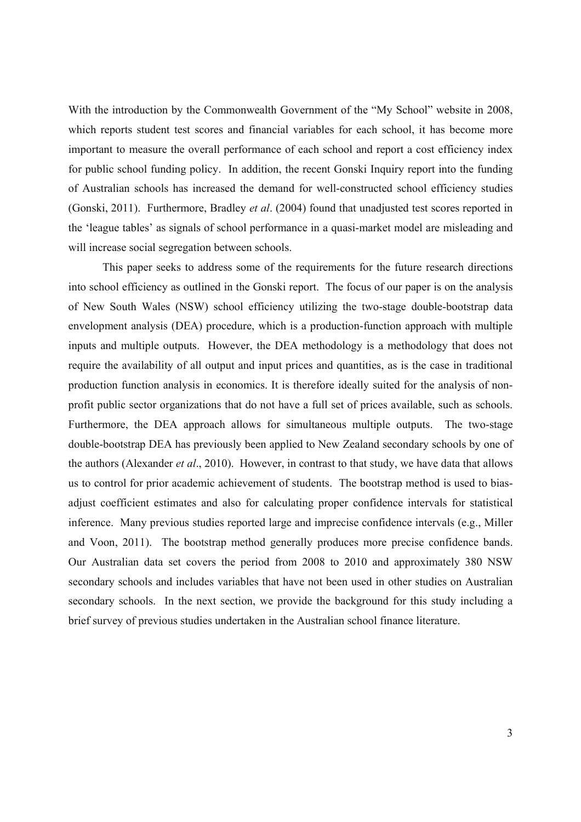With the introduction by the Commonwealth Government of the "My School" website in 2008, which reports student test scores and financial variables for each school, it has become more important to measure the overall performance of each school and report a cost efficiency index for public school funding policy. In addition, the recent Gonski Inquiry report into the funding of Australian schools has increased the demand for well-constructed school efficiency studies (Gonski, 2011). Furthermore, Bradley *et al*. (2004) found that unadjusted test scores reported in the 'league tables' as signals of school performance in a quasi-market model are misleading and will increase social segregation between schools.

This paper seeks to address some of the requirements for the future research directions into school efficiency as outlined in the Gonski report. The focus of our paper is on the analysis of New South Wales (NSW) school efficiency utilizing the two-stage double-bootstrap data envelopment analysis (DEA) procedure, which is a production-function approach with multiple inputs and multiple outputs. However, the DEA methodology is a methodology that does not require the availability of all output and input prices and quantities, as is the case in traditional production function analysis in economics. It is therefore ideally suited for the analysis of nonprofit public sector organizations that do not have a full set of prices available, such as schools. Furthermore, the DEA approach allows for simultaneous multiple outputs. The two-stage double-bootstrap DEA has previously been applied to New Zealand secondary schools by one of the authors (Alexander *et al*., 2010). However, in contrast to that study, we have data that allows us to control for prior academic achievement of students. The bootstrap method is used to biasadjust coefficient estimates and also for calculating proper confidence intervals for statistical inference. Many previous studies reported large and imprecise confidence intervals (e.g., Miller and Voon, 2011). The bootstrap method generally produces more precise confidence bands. Our Australian data set covers the period from 2008 to 2010 and approximately 380 NSW secondary schools and includes variables that have not been used in other studies on Australian secondary schools. In the next section, we provide the background for this study including a brief survey of previous studies undertaken in the Australian school finance literature.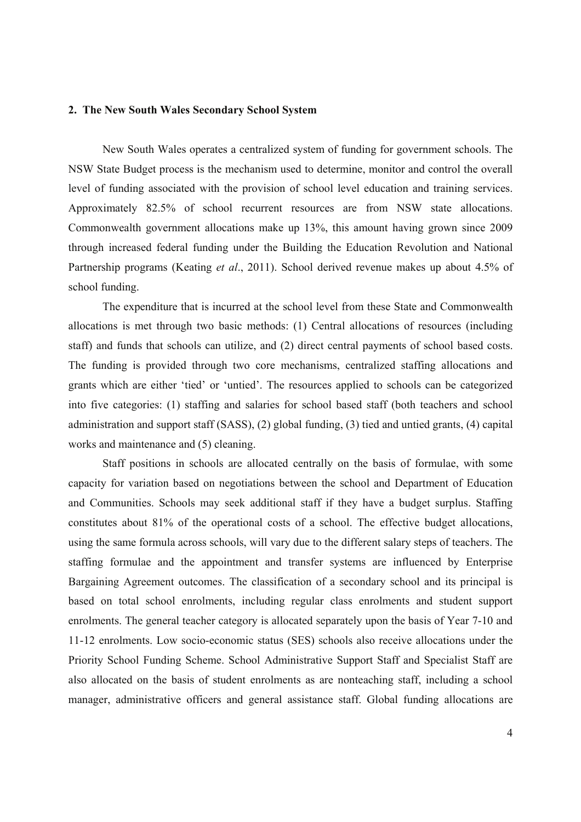#### **2. The New South Wales Secondary School System**

New South Wales operates a centralized system of funding for government schools. The NSW State Budget process is the mechanism used to determine, monitor and control the overall level of funding associated with the provision of school level education and training services. Approximately 82.5% of school recurrent resources are from NSW state allocations. Commonwealth government allocations make up 13%, this amount having grown since 2009 through increased federal funding under the Building the Education Revolution and National Partnership programs (Keating *et al*., 2011). School derived revenue makes up about 4.5% of school funding.

The expenditure that is incurred at the school level from these State and Commonwealth allocations is met through two basic methods: (1) Central allocations of resources (including staff) and funds that schools can utilize, and (2) direct central payments of school based costs. The funding is provided through two core mechanisms, centralized staffing allocations and grants which are either 'tied' or 'untied'. The resources applied to schools can be categorized into five categories: (1) staffing and salaries for school based staff (both teachers and school administration and support staff (SASS), (2) global funding, (3) tied and untied grants, (4) capital works and maintenance and (5) cleaning.

Staff positions in schools are allocated centrally on the basis of formulae, with some capacity for variation based on negotiations between the school and Department of Education and Communities. Schools may seek additional staff if they have a budget surplus. Staffing constitutes about 81% of the operational costs of a school. The effective budget allocations, using the same formula across schools, will vary due to the different salary steps of teachers. The staffing formulae and the appointment and transfer systems are influenced by Enterprise Bargaining Agreement outcomes. The classification of a secondary school and its principal is based on total school enrolments, including regular class enrolments and student support enrolments. The general teacher category is allocated separately upon the basis of Year 7-10 and 11-12 enrolments. Low socio-economic status (SES) schools also receive allocations under the Priority School Funding Scheme. School Administrative Support Staff and Specialist Staff are also allocated on the basis of student enrolments as are nonteaching staff, including a school manager, administrative officers and general assistance staff. Global funding allocations are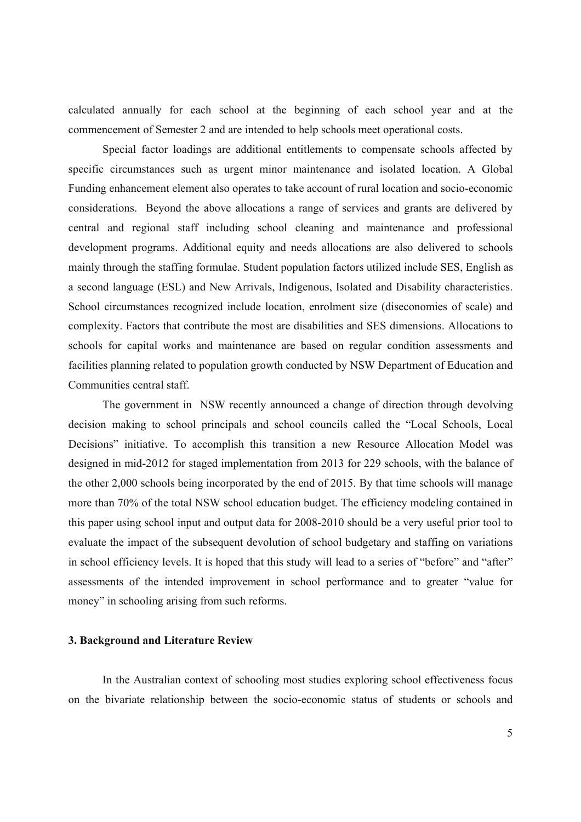calculated annually for each school at the beginning of each school year and at the commencement of Semester 2 and are intended to help schools meet operational costs.

 Special factor loadings are additional entitlements to compensate schools affected by specific circumstances such as urgent minor maintenance and isolated location. A Global Funding enhancement element also operates to take account of rural location and socio-economic considerations. Beyond the above allocations a range of services and grants are delivered by central and regional staff including school cleaning and maintenance and professional development programs. Additional equity and needs allocations are also delivered to schools mainly through the staffing formulae. Student population factors utilized include SES, English as a second language (ESL) and New Arrivals, Indigenous, Isolated and Disability characteristics. School circumstances recognized include location, enrolment size (diseconomies of scale) and complexity. Factors that contribute the most are disabilities and SES dimensions. Allocations to schools for capital works and maintenance are based on regular condition assessments and facilities planning related to population growth conducted by NSW Department of Education and Communities central staff.

The government in NSW recently announced a change of direction through devolving decision making to school principals and school councils called the "Local Schools, Local Decisions" initiative. To accomplish this transition a new Resource Allocation Model was designed in mid-2012 for staged implementation from 2013 for 229 schools, with the balance of the other 2,000 schools being incorporated by the end of 2015. By that time schools will manage more than 70% of the total NSW school education budget. The efficiency modeling contained in this paper using school input and output data for 2008-2010 should be a very useful prior tool to evaluate the impact of the subsequent devolution of school budgetary and staffing on variations in school efficiency levels. It is hoped that this study will lead to a series of "before" and "after" assessments of the intended improvement in school performance and to greater "value for money" in schooling arising from such reforms.

#### **3. Background and Literature Review**

In the Australian context of schooling most studies exploring school effectiveness focus on the bivariate relationship between the socio-economic status of students or schools and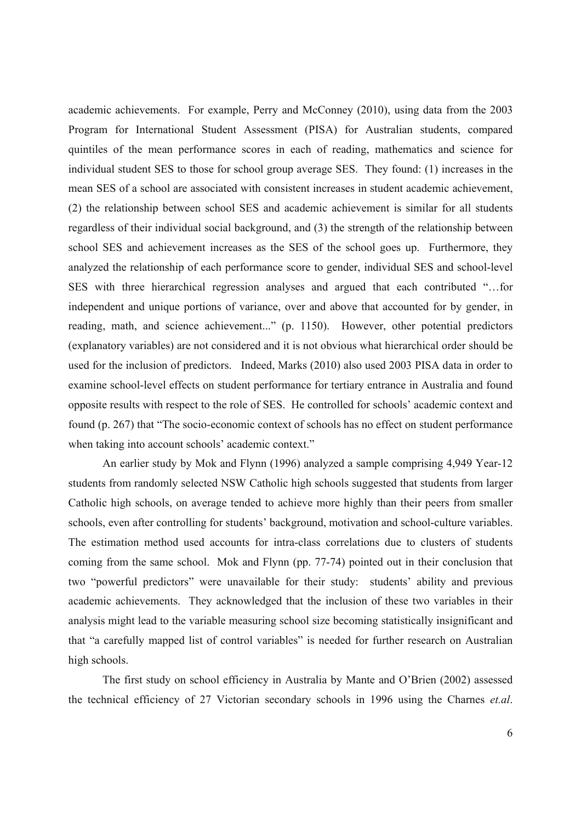academic achievements. For example, Perry and McConney (2010), using data from the 2003 Program for International Student Assessment (PISA) for Australian students, compared quintiles of the mean performance scores in each of reading, mathematics and science for individual student SES to those for school group average SES. They found: (1) increases in the mean SES of a school are associated with consistent increases in student academic achievement, (2) the relationship between school SES and academic achievement is similar for all students regardless of their individual social background, and (3) the strength of the relationship between school SES and achievement increases as the SES of the school goes up. Furthermore, they analyzed the relationship of each performance score to gender, individual SES and school-level SES with three hierarchical regression analyses and argued that each contributed "…for independent and unique portions of variance, over and above that accounted for by gender, in reading, math, and science achievement..." (p. 1150). However, other potential predictors (explanatory variables) are not considered and it is not obvious what hierarchical order should be used for the inclusion of predictors. Indeed, Marks (2010) also used 2003 PISA data in order to examine school-level effects on student performance for tertiary entrance in Australia and found opposite results with respect to the role of SES. He controlled for schools' academic context and found (p. 267) that "The socio-economic context of schools has no effect on student performance when taking into account schools' academic context."

An earlier study by Mok and Flynn (1996) analyzed a sample comprising 4,949 Year-12 students from randomly selected NSW Catholic high schools suggested that students from larger Catholic high schools, on average tended to achieve more highly than their peers from smaller schools, even after controlling for students' background, motivation and school-culture variables. The estimation method used accounts for intra-class correlations due to clusters of students coming from the same school. Mok and Flynn (pp. 77-74) pointed out in their conclusion that two "powerful predictors" were unavailable for their study: students' ability and previous academic achievements. They acknowledged that the inclusion of these two variables in their analysis might lead to the variable measuring school size becoming statistically insignificant and that "a carefully mapped list of control variables" is needed for further research on Australian high schools.

The first study on school efficiency in Australia by Mante and O'Brien (2002) assessed the technical efficiency of 27 Victorian secondary schools in 1996 using the Charnes *et.al*.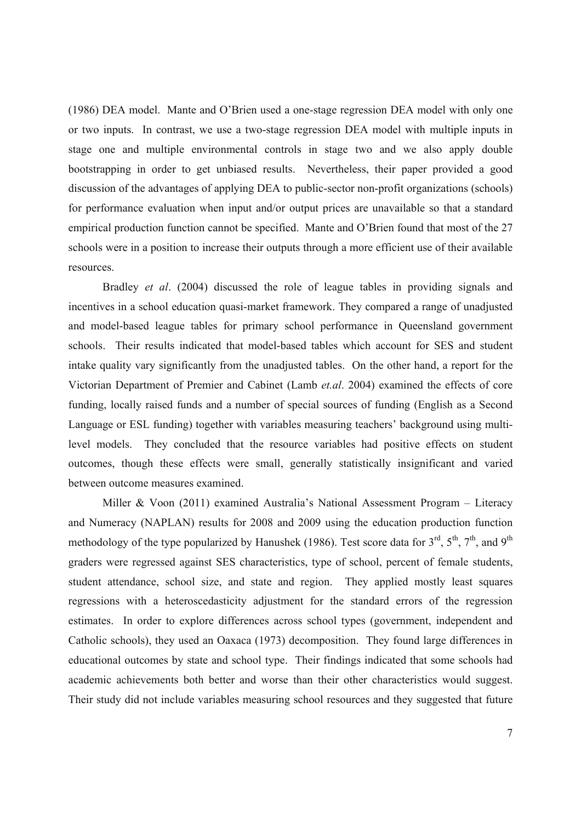(1986) DEA model. Mante and O'Brien used a one-stage regression DEA model with only one or two inputs. In contrast, we use a two-stage regression DEA model with multiple inputs in stage one and multiple environmental controls in stage two and we also apply double bootstrapping in order to get unbiased results. Nevertheless, their paper provided a good discussion of the advantages of applying DEA to public-sector non-profit organizations (schools) for performance evaluation when input and/or output prices are unavailable so that a standard empirical production function cannot be specified. Mante and O'Brien found that most of the 27 schools were in a position to increase their outputs through a more efficient use of their available resources.

Bradley *et al*. (2004) discussed the role of league tables in providing signals and incentives in a school education quasi-market framework. They compared a range of unadjusted and model-based league tables for primary school performance in Queensland government schools. Their results indicated that model-based tables which account for SES and student intake quality vary significantly from the unadjusted tables. On the other hand, a report for the Victorian Department of Premier and Cabinet (Lamb *et.al*. 2004) examined the effects of core funding, locally raised funds and a number of special sources of funding (English as a Second Language or ESL funding) together with variables measuring teachers' background using multilevel models. They concluded that the resource variables had positive effects on student outcomes, though these effects were small, generally statistically insignificant and varied between outcome measures examined.

Miller & Voon (2011) examined Australia's National Assessment Program – Literacy and Numeracy (NAPLAN) results for 2008 and 2009 using the education production function methodology of the type popularized by Hanushek (1986). Test score data for  $3<sup>rd</sup>$ ,  $5<sup>th</sup>$ ,  $7<sup>th</sup>$ , and  $9<sup>th</sup>$ graders were regressed against SES characteristics, type of school, percent of female students, student attendance, school size, and state and region. They applied mostly least squares regressions with a heteroscedasticity adjustment for the standard errors of the regression estimates. In order to explore differences across school types (government, independent and Catholic schools), they used an Oaxaca (1973) decomposition. They found large differences in educational outcomes by state and school type. Their findings indicated that some schools had academic achievements both better and worse than their other characteristics would suggest. Their study did not include variables measuring school resources and they suggested that future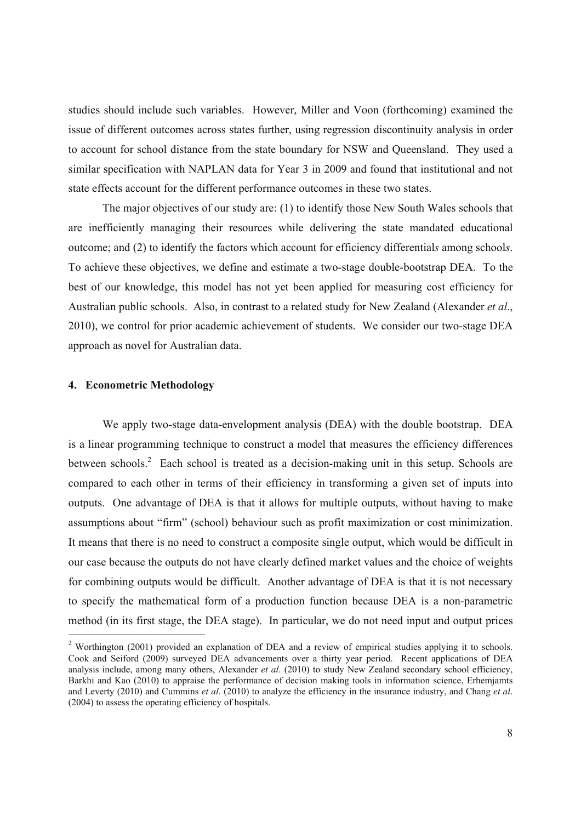studies should include such variables. However, Miller and Voon (forthcoming) examined the issue of different outcomes across states further, using regression discontinuity analysis in order to account for school distance from the state boundary for NSW and Queensland. They used a similar specification with NAPLAN data for Year 3 in 2009 and found that institutional and not state effects account for the different performance outcomes in these two states.

The major objectives of our study are: (1) to identify those New South Wales schools that are inefficiently managing their resources while delivering the state mandated educational outcome; and (2) to identify the factors which account for efficiency differential*s* among school*s*. To achieve these objectives, we define and estimate a two-stage double-bootstrap DEA. To the best of our knowledge, this model has not yet been applied for measuring cost efficiency for Australian public schools. Also, in contrast to a related study for New Zealand (Alexander *et al*., 2010), we control for prior academic achievement of students. We consider our two-stage DEA approach as novel for Australian data.

## **4. Econometric Methodology**

-

We apply two-stage data-envelopment analysis (DEA) with the double bootstrap. DEA is a linear programming technique to construct a model that measures the efficiency differences between schools.<sup>2</sup> Each school is treated as a decision-making unit in this setup. Schools are compared to each other in terms of their efficiency in transforming a given set of inputs into outputs. One advantage of DEA is that it allows for multiple outputs, without having to make assumptions about "firm" (school) behaviour such as profit maximization or cost minimization. It means that there is no need to construct a composite single output, which would be difficult in our case because the outputs do not have clearly defined market values and the choice of weights for combining outputs would be difficult. Another advantage of DEA is that it is not necessary to specify the mathematical form of a production function because DEA is a non-parametric method (in its first stage, the DEA stage). In particular, we do not need input and output prices

<sup>&</sup>lt;sup>2</sup> Worthington (2001) provided an explanation of DEA and a review of empirical studies applying it to schools. Cook and Seiford (2009) surveyed DEA advancements over a thirty year period. Recent applications of DEA analysis include, among many others, Alexander *et al*. (2010) to study New Zealand secondary school efficiency, Barkhi and Kao (2010) to appraise the performance of decision making tools in information science, Erhemjamts and Leverty (2010) and Cummins *et al*. (2010) to analyze the efficiency in the insurance industry, and Chang *et al*. (2004) to assess the operating efficiency of hospitals.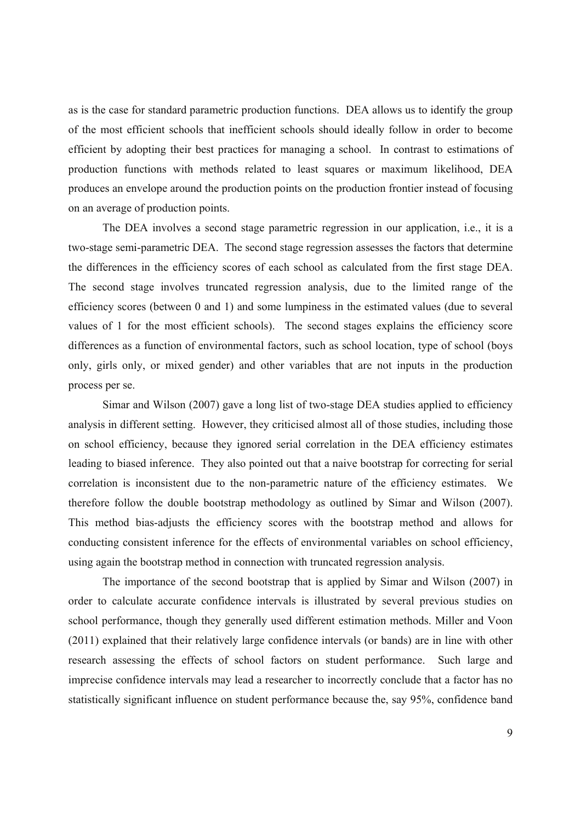as is the case for standard parametric production functions. DEA allows us to identify the group of the most efficient schools that inefficient schools should ideally follow in order to become efficient by adopting their best practices for managing a school. In contrast to estimations of production functions with methods related to least squares or maximum likelihood, DEA produces an envelope around the production points on the production frontier instead of focusing on an average of production points.

The DEA involves a second stage parametric regression in our application, i.e., it is a two-stage semi-parametric DEA. The second stage regression assesses the factors that determine the differences in the efficiency scores of each school as calculated from the first stage DEA. The second stage involves truncated regression analysis, due to the limited range of the efficiency scores (between 0 and 1) and some lumpiness in the estimated values (due to several values of 1 for the most efficient schools). The second stages explains the efficiency score differences as a function of environmental factors, such as school location, type of school (boys only, girls only, or mixed gender) and other variables that are not inputs in the production process per se.

Simar and Wilson (2007) gave a long list of two-stage DEA studies applied to efficiency analysis in different setting. However, they criticised almost all of those studies, including those on school efficiency, because they ignored serial correlation in the DEA efficiency estimates leading to biased inference. They also pointed out that a naive bootstrap for correcting for serial correlation is inconsistent due to the non-parametric nature of the efficiency estimates. We therefore follow the double bootstrap methodology as outlined by Simar and Wilson (2007). This method bias-adjusts the efficiency scores with the bootstrap method and allows for conducting consistent inference for the effects of environmental variables on school efficiency, using again the bootstrap method in connection with truncated regression analysis.

The importance of the second bootstrap that is applied by Simar and Wilson (2007) in order to calculate accurate confidence intervals is illustrated by several previous studies on school performance, though they generally used different estimation methods. Miller and Voon (2011) explained that their relatively large confidence intervals (or bands) are in line with other research assessing the effects of school factors on student performance. Such large and imprecise confidence intervals may lead a researcher to incorrectly conclude that a factor has no statistically significant influence on student performance because the, say 95%, confidence band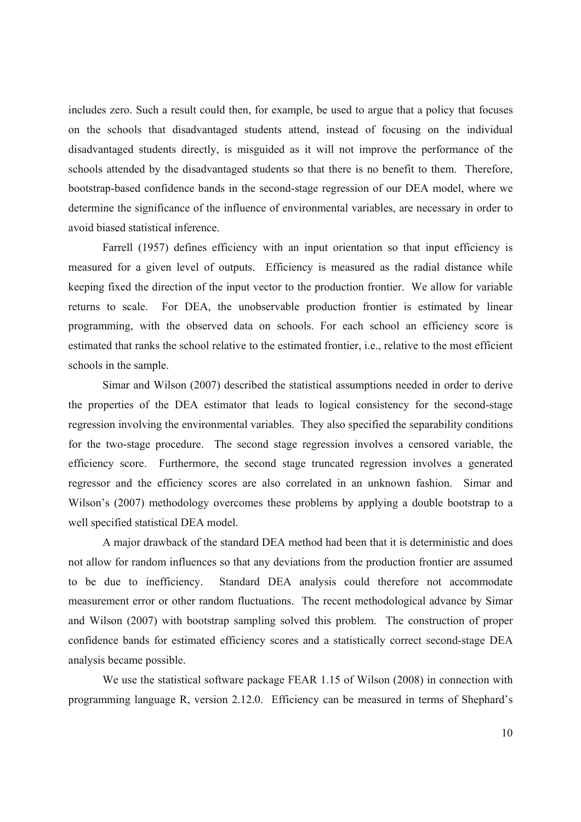includes zero. Such a result could then, for example, be used to argue that a policy that focuses on the schools that disadvantaged students attend, instead of focusing on the individual disadvantaged students directly, is misguided as it will not improve the performance of the schools attended by the disadvantaged students so that there is no benefit to them. Therefore, bootstrap-based confidence bands in the second-stage regression of our DEA model, where we determine the significance of the influence of environmental variables, are necessary in order to avoid biased statistical inference.

Farrell (1957) defines efficiency with an input orientation so that input efficiency is measured for a given level of outputs. Efficiency is measured as the radial distance while keeping fixed the direction of the input vector to the production frontier. We allow for variable returns to scale. For DEA, the unobservable production frontier is estimated by linear programming, with the observed data on schools. For each school an efficiency score is estimated that ranks the school relative to the estimated frontier, i.e., relative to the most efficient schools in the sample.

Simar and Wilson (2007) described the statistical assumptions needed in order to derive the properties of the DEA estimator that leads to logical consistency for the second-stage regression involving the environmental variables. They also specified the separability conditions for the two-stage procedure. The second stage regression involves a censored variable, the efficiency score. Furthermore, the second stage truncated regression involves a generated regressor and the efficiency scores are also correlated in an unknown fashion. Simar and Wilson's (2007) methodology overcomes these problems by applying a double bootstrap to a well specified statistical DEA model.

A major drawback of the standard DEA method had been that it is deterministic and does not allow for random influences so that any deviations from the production frontier are assumed to be due to inefficiency. Standard DEA analysis could therefore not accommodate measurement error or other random fluctuations. The recent methodological advance by Simar and Wilson (2007) with bootstrap sampling solved this problem. The construction of proper confidence bands for estimated efficiency scores and a statistically correct second-stage DEA analysis became possible.

We use the statistical software package FEAR 1.15 of Wilson (2008) in connection with programming language R, version 2.12.0. Efficiency can be measured in terms of Shephard's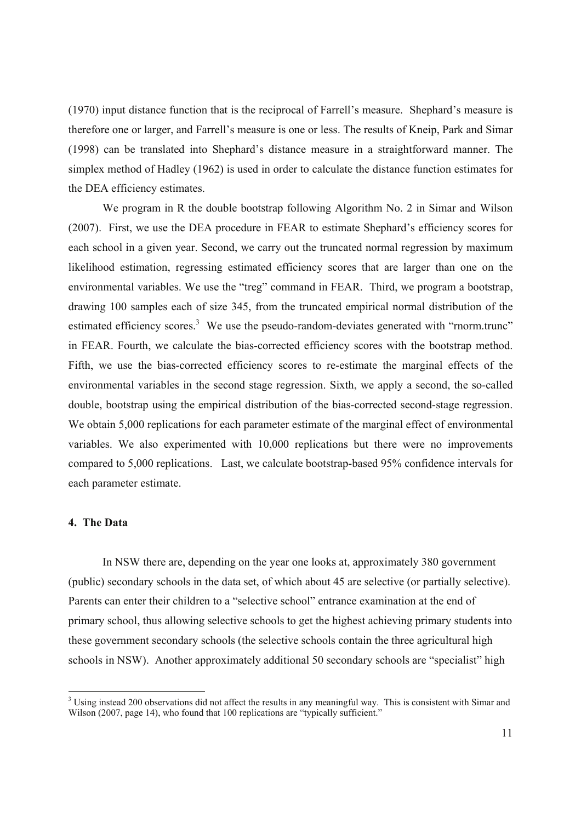(1970) input distance function that is the reciprocal of Farrell's measure. Shephard's measure is therefore one or larger, and Farrell's measure is one or less. The results of Kneip, Park and Simar (1998) can be translated into Shephard's distance measure in a straightforward manner. The simplex method of Hadley (1962) is used in order to calculate the distance function estimates for the DEA efficiency estimates.

We program in R the double bootstrap following Algorithm No. 2 in Simar and Wilson (2007). First, we use the DEA procedure in FEAR to estimate Shephard's efficiency scores for each school in a given year. Second, we carry out the truncated normal regression by maximum likelihood estimation, regressing estimated efficiency scores that are larger than one on the environmental variables. We use the "treg" command in FEAR. Third, we program a bootstrap, drawing 100 samples each of size 345, from the truncated empirical normal distribution of the estimated efficiency scores.<sup>3</sup> We use the pseudo-random-deviates generated with "rnorm.trunc" in FEAR. Fourth, we calculate the bias-corrected efficiency scores with the bootstrap method. Fifth, we use the bias-corrected efficiency scores to re-estimate the marginal effects of the environmental variables in the second stage regression. Sixth, we apply a second, the so-called double, bootstrap using the empirical distribution of the bias-corrected second-stage regression. We obtain 5,000 replications for each parameter estimate of the marginal effect of environmental variables. We also experimented with 10,000 replications but there were no improvements compared to 5,000 replications. Last, we calculate bootstrap-based 95% confidence intervals for each parameter estimate.

# **4. The Data**

In NSW there are, depending on the year one looks at, approximately 380 government (public) secondary schools in the data set, of which about 45 are selective (or partially selective). Parents can enter their children to a "selective school" entrance examination at the end of primary school, thus allowing selective schools to get the highest achieving primary students into these government secondary schools (the selective schools contain the three agricultural high schools in NSW). Another approximately additional 50 secondary schools are "specialist" high

<sup>&</sup>lt;sup>3</sup> Using instead 200 observations did not affect the results in any meaningful way. This is consistent with Simar and Wilson (2007, page 14), who found that 100 replications are "typically sufficient."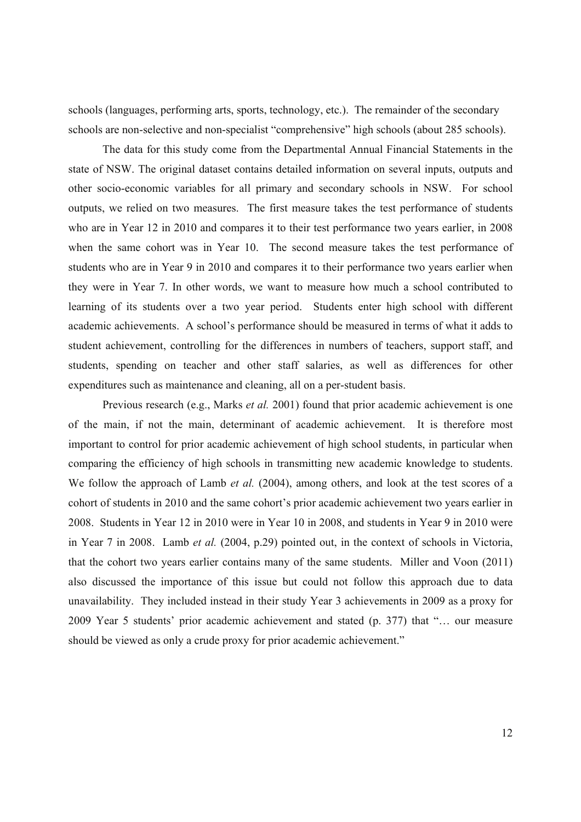schools (languages, performing arts, sports, technology, etc.). The remainder of the secondary schools are non-selective and non-specialist "comprehensive" high schools (about 285 schools).

The data for this study come from the Departmental Annual Financial Statements in the state of NSW. The original dataset contains detailed information on several inputs, outputs and other socio-economic variables for all primary and secondary schools in NSW. For school outputs, we relied on two measures. The first measure takes the test performance of students who are in Year 12 in 2010 and compares it to their test performance two years earlier, in 2008 when the same cohort was in Year 10. The second measure takes the test performance of students who are in Year 9 in 2010 and compares it to their performance two years earlier when they were in Year 7. In other words, we want to measure how much a school contributed to learning of its students over a two year period. Students enter high school with different academic achievements. A school's performance should be measured in terms of what it adds to student achievement, controlling for the differences in numbers of teachers, support staff, and students, spending on teacher and other staff salaries, as well as differences for other expenditures such as maintenance and cleaning, all on a per-student basis.

Previous research (e.g., Marks *et al.* 2001) found that prior academic achievement is one of the main, if not the main, determinant of academic achievement. It is therefore most important to control for prior academic achievement of high school students, in particular when comparing the efficiency of high schools in transmitting new academic knowledge to students. We follow the approach of Lamb *et al.* (2004), among others, and look at the test scores of a cohort of students in 2010 and the same cohort's prior academic achievement two years earlier in 2008. Students in Year 12 in 2010 were in Year 10 in 2008, and students in Year 9 in 2010 were in Year 7 in 2008. Lamb *et al.* (2004, p.29) pointed out, in the context of schools in Victoria, that the cohort two years earlier contains many of the same students. Miller and Voon (2011) also discussed the importance of this issue but could not follow this approach due to data unavailability. They included instead in their study Year 3 achievements in 2009 as a proxy for 2009 Year 5 students' prior academic achievement and stated (p. 377) that "… our measure should be viewed as only a crude proxy for prior academic achievement."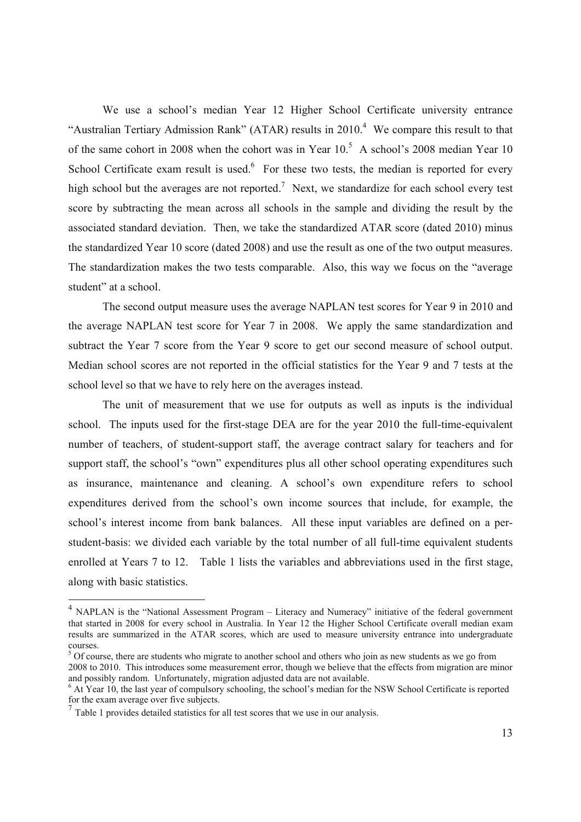We use a school's median Year 12 Higher School Certificate university entrance "Australian Tertiary Admission Rank" (ATAR) results in 2010.<sup>4</sup> We compare this result to that of the same cohort in 2008 when the cohort was in Year  $10<sup>5</sup>$  A school's 2008 median Year 10 School Certificate exam result is used. $6$  For these two tests, the median is reported for every high school but the averages are not reported.<sup>7</sup> Next, we standardize for each school every test score by subtracting the mean across all schools in the sample and dividing the result by the associated standard deviation. Then, we take the standardized ATAR score (dated 2010) minus the standardized Year 10 score (dated 2008) and use the result as one of the two output measures. The standardization makes the two tests comparable. Also, this way we focus on the "average student" at a school.

The second output measure uses the average NAPLAN test scores for Year 9 in 2010 and the average NAPLAN test score for Year 7 in 2008. We apply the same standardization and subtract the Year 7 score from the Year 9 score to get our second measure of school output. Median school scores are not reported in the official statistics for the Year 9 and 7 tests at the school level so that we have to rely here on the averages instead.

 The unit of measurement that we use for outputs as well as inputs is the individual school. The inputs used for the first-stage DEA are for the year 2010 the full-time-equivalent number of teachers, of student-support staff, the average contract salary for teachers and for support staff, the school's "own" expenditures plus all other school operating expenditures such as insurance, maintenance and cleaning. A school's own expenditure refers to school expenditures derived from the school's own income sources that include, for example, the school's interest income from bank balances. All these input variables are defined on a perstudent-basis: we divided each variable by the total number of all full-time equivalent students enrolled at Years 7 to 12. Table 1 lists the variables and abbreviations used in the first stage, along with basic statistics.

-

<sup>&</sup>lt;sup>4</sup> NAPLAN is the "National Assessment Program – Literacy and Numeracy" initiative of the federal government that started in 2008 for every school in Australia. In Year 12 the Higher School Certificate overall median exam results are summarized in the ATAR scores, which are used to measure university entrance into undergraduate courses.

 $5$  Of course, there are students who migrate to another school and others who join as new students as we go from 2008 to 2010. This introduces some measurement error, though we believe that the effects from migration are minor and possibly random. Unfortunately, migration adjusted data are not available.

<sup>&</sup>lt;sup>6</sup> At Year 10, the last year of compulsory schooling, the school's median for the NSW School Certificate is reported for the exam average over five subjects.

 $<sup>7</sup>$  Table 1 provides detailed statistics for all test scores that we use in our analysis.</sup>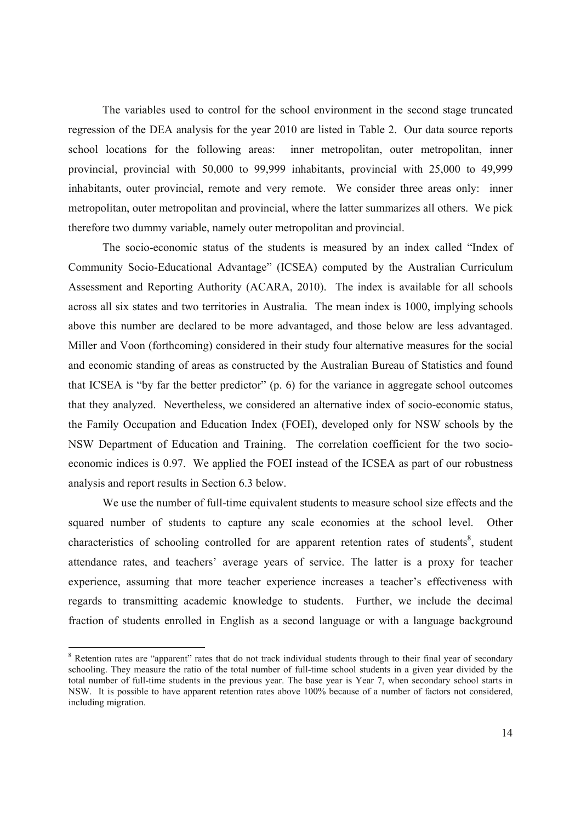The variables used to control for the school environment in the second stage truncated regression of the DEA analysis for the year 2010 are listed in Table 2. Our data source reports school locations for the following areas: inner metropolitan, outer metropolitan, inner provincial, provincial with 50,000 to 99,999 inhabitants, provincial with 25,000 to 49,999 inhabitants, outer provincial, remote and very remote. We consider three areas only: inner metropolitan, outer metropolitan and provincial, where the latter summarizes all others. We pick therefore two dummy variable, namely outer metropolitan and provincial.

The socio-economic status of the students is measured by an index called "Index of Community Socio-Educational Advantage" (ICSEA) computed by the Australian Curriculum Assessment and Reporting Authority (ACARA, 2010). The index is available for all schools across all six states and two territories in Australia. The mean index is 1000, implying schools above this number are declared to be more advantaged, and those below are less advantaged. Miller and Voon (forthcoming) considered in their study four alternative measures for the social and economic standing of areas as constructed by the Australian Bureau of Statistics and found that ICSEA is "by far the better predictor" (p. 6) for the variance in aggregate school outcomes that they analyzed. Nevertheless, we considered an alternative index of socio-economic status, the Family Occupation and Education Index (FOEI), developed only for NSW schools by the NSW Department of Education and Training. The correlation coefficient for the two socioeconomic indices is 0.97. We applied the FOEI instead of the ICSEA as part of our robustness analysis and report results in Section 6.3 below.

We use the number of full-time equivalent students to measure school size effects and the squared number of students to capture any scale economies at the school level. Other characteristics of schooling controlled for are apparent retention rates of students<sup>8</sup>, student attendance rates, and teachers' average years of service. The latter is a proxy for teacher experience, assuming that more teacher experience increases a teacher's effectiveness with regards to transmitting academic knowledge to students. Further, we include the decimal fraction of students enrolled in English as a second language or with a language background

-

<sup>&</sup>lt;sup>8</sup> Retention rates are "apparent" rates that do not track individual students through to their final year of secondary schooling. They measure the ratio of the total number of full-time school students in a given year divided by the total number of full-time students in the previous year. The base year is Year 7, when secondary school starts in NSW. It is possible to have apparent retention rates above 100% because of a number of factors not considered, including migration.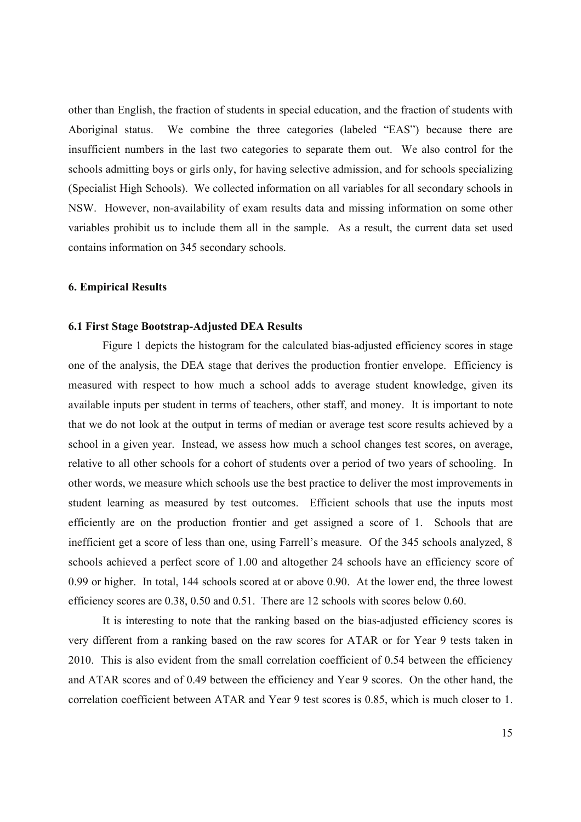other than English, the fraction of students in special education, and the fraction of students with Aboriginal status. We combine the three categories (labeled "EAS") because there are insufficient numbers in the last two categories to separate them out. We also control for the schools admitting boys or girls only, for having selective admission, and for schools specializing (Specialist High Schools). We collected information on all variables for all secondary schools in NSW. However, non-availability of exam results data and missing information on some other variables prohibit us to include them all in the sample. As a result, the current data set used contains information on 345 secondary schools.

## **6. Empirical Results**

#### **6.1 First Stage Bootstrap-Adjusted DEA Results**

Figure 1 depicts the histogram for the calculated bias-adjusted efficiency scores in stage one of the analysis, the DEA stage that derives the production frontier envelope. Efficiency is measured with respect to how much a school adds to average student knowledge, given its available inputs per student in terms of teachers, other staff, and money. It is important to note that we do not look at the output in terms of median or average test score results achieved by a school in a given year. Instead, we assess how much a school changes test scores, on average, relative to all other schools for a cohort of students over a period of two years of schooling. In other words, we measure which schools use the best practice to deliver the most improvements in student learning as measured by test outcomes. Efficient schools that use the inputs most efficiently are on the production frontier and get assigned a score of 1. Schools that are inefficient get a score of less than one, using Farrell's measure. Of the 345 schools analyzed, 8 schools achieved a perfect score of 1.00 and altogether 24 schools have an efficiency score of 0.99 or higher. In total, 144 schools scored at or above 0.90. At the lower end, the three lowest efficiency scores are 0.38, 0.50 and 0.51. There are 12 schools with scores below 0.60.

It is interesting to note that the ranking based on the bias-adjusted efficiency scores is very different from a ranking based on the raw scores for ATAR or for Year 9 tests taken in 2010. This is also evident from the small correlation coefficient of 0.54 between the efficiency and ATAR scores and of 0.49 between the efficiency and Year 9 scores. On the other hand, the correlation coefficient between ATAR and Year 9 test scores is 0.85, which is much closer to 1.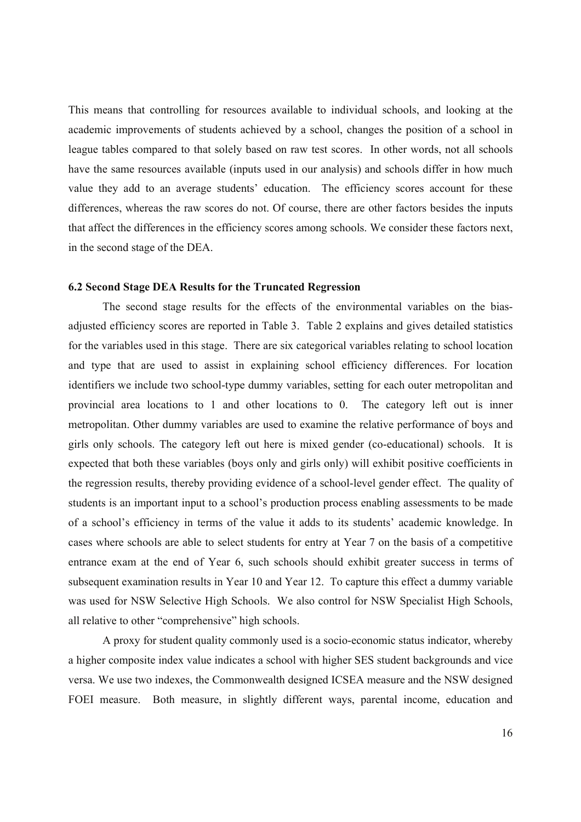This means that controlling for resources available to individual schools, and looking at the academic improvements of students achieved by a school, changes the position of a school in league tables compared to that solely based on raw test scores. In other words, not all schools have the same resources available (inputs used in our analysis) and schools differ in how much value they add to an average students' education. The efficiency scores account for these differences, whereas the raw scores do not. Of course, there are other factors besides the inputs that affect the differences in the efficiency scores among schools. We consider these factors next, in the second stage of the DEA.

## **6.2 Second Stage DEA Results for the Truncated Regression**

The second stage results for the effects of the environmental variables on the biasadjusted efficiency scores are reported in Table 3. Table 2 explains and gives detailed statistics for the variables used in this stage. There are six categorical variables relating to school location and type that are used to assist in explaining school efficiency differences. For location identifiers we include two school-type dummy variables, setting for each outer metropolitan and provincial area locations to 1 and other locations to 0. The category left out is inner metropolitan. Other dummy variables are used to examine the relative performance of boys and girls only schools. The category left out here is mixed gender (co-educational) schools. It is expected that both these variables (boys only and girls only) will exhibit positive coefficients in the regression results, thereby providing evidence of a school-level gender effect. The quality of students is an important input to a school's production process enabling assessments to be made of a school's efficiency in terms of the value it adds to its students' academic knowledge. In cases where schools are able to select students for entry at Year 7 on the basis of a competitive entrance exam at the end of Year 6, such schools should exhibit greater success in terms of subsequent examination results in Year 10 and Year 12. To capture this effect a dummy variable was used for NSW Selective High Schools. We also control for NSW Specialist High Schools, all relative to other "comprehensive" high schools.

A proxy for student quality commonly used is a socio-economic status indicator, whereby a higher composite index value indicates a school with higher SES student backgrounds and vice versa. We use two indexes, the Commonwealth designed ICSEA measure and the NSW designed FOEI measure. Both measure, in slightly different ways, parental income, education and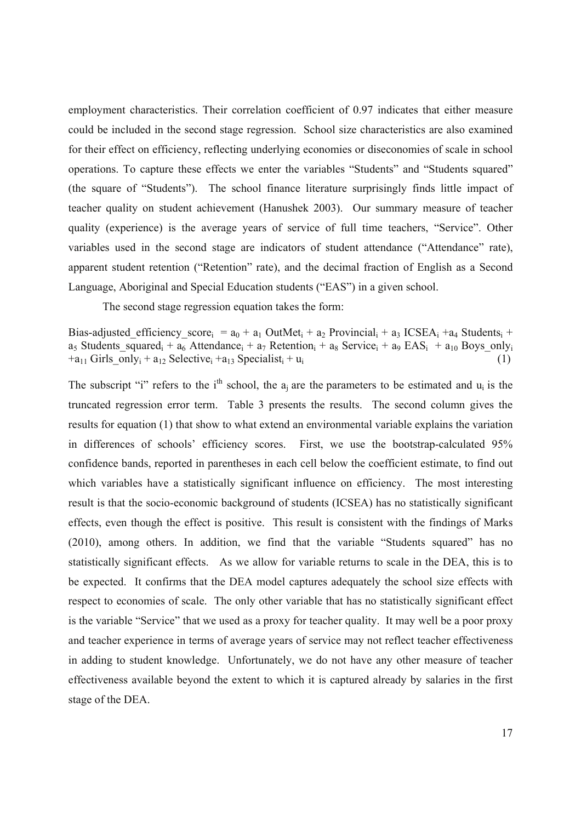employment characteristics. Their correlation coefficient of 0.97 indicates that either measure could be included in the second stage regression. School size characteristics are also examined for their effect on efficiency, reflecting underlying economies or diseconomies of scale in school operations. To capture these effects we enter the variables "Students" and "Students squared" (the square of "Students"). The school finance literature surprisingly finds little impact of teacher quality on student achievement (Hanushek 2003). Our summary measure of teacher quality (experience) is the average years of service of full time teachers, "Service". Other variables used in the second stage are indicators of student attendance ("Attendance" rate), apparent student retention ("Retention" rate), and the decimal fraction of English as a Second Language, Aboriginal and Special Education students ("EAS") in a given school.

The second stage regression equation takes the form:

Bias-adjusted efficiency score<sub>i</sub> =  $a_0$  +  $a_1$  OutMet<sub>i</sub> +  $a_2$  Provincial<sub>i</sub> +  $a_3$  ICSEA<sub>i</sub> +a<sub>4</sub> Students<sub>i</sub> +  $a_5$  Students squared<sub>i</sub> +  $a_6$  Attendance<sub>i</sub> +  $a_7$  Retention<sub>i</sub> +  $a_8$  Service<sub>i</sub> +  $a_9$  EAS<sub>i</sub> +  $a_{10}$  Boys only<sub>i</sub>  $+a_{11}$  Girls only<sub>i</sub> + a<sub>12</sub> Selective<sub>i</sub> +a<sub>13</sub> Specialist<sub>i</sub> + u<sub>i</sub> (1)

The subscript "i" refers to the i<sup>th</sup> school, the  $a_i$  are the parameters to be estimated and  $u_i$  is the truncated regression error term. Table 3 presents the results. The second column gives the results for equation (1) that show to what extend an environmental variable explains the variation in differences of schools' efficiency scores. First, we use the bootstrap-calculated 95% confidence bands, reported in parentheses in each cell below the coefficient estimate, to find out which variables have a statistically significant influence on efficiency. The most interesting result is that the socio-economic background of students (ICSEA) has no statistically significant effects, even though the effect is positive. This result is consistent with the findings of Marks (2010), among others. In addition, we find that the variable "Students squared" has no statistically significant effects. As we allow for variable returns to scale in the DEA, this is to be expected. It confirms that the DEA model captures adequately the school size effects with respect to economies of scale. The only other variable that has no statistically significant effect is the variable "Service" that we used as a proxy for teacher quality. It may well be a poor proxy and teacher experience in terms of average years of service may not reflect teacher effectiveness in adding to student knowledge. Unfortunately, we do not have any other measure of teacher effectiveness available beyond the extent to which it is captured already by salaries in the first stage of the DEA.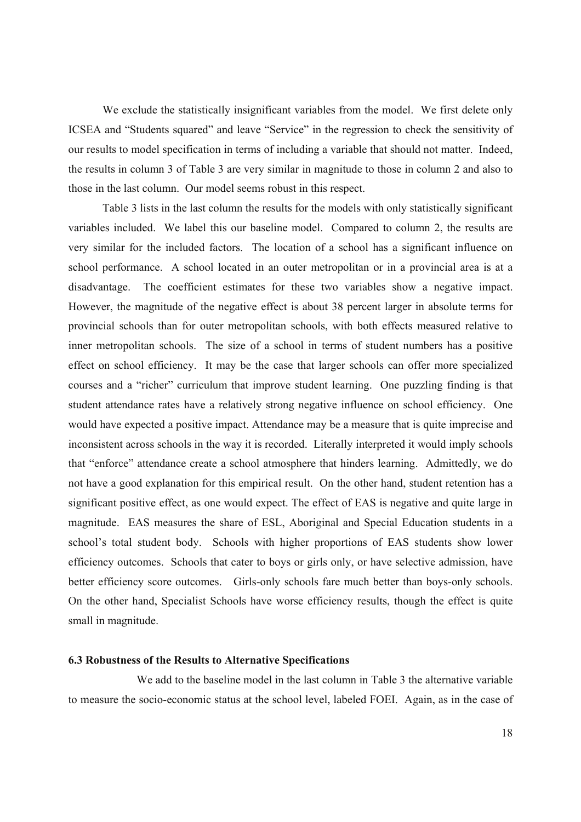We exclude the statistically insignificant variables from the model. We first delete only ICSEA and "Students squared" and leave "Service" in the regression to check the sensitivity of our results to model specification in terms of including a variable that should not matter. Indeed, the results in column 3 of Table 3 are very similar in magnitude to those in column 2 and also to those in the last column. Our model seems robust in this respect.

Table 3 lists in the last column the results for the models with only statistically significant variables included. We label this our baseline model. Compared to column 2, the results are very similar for the included factors. The location of a school has a significant influence on school performance. A school located in an outer metropolitan or in a provincial area is at a disadvantage. The coefficient estimates for these two variables show a negative impact. However, the magnitude of the negative effect is about 38 percent larger in absolute terms for provincial schools than for outer metropolitan schools, with both effects measured relative to inner metropolitan schools. The size of a school in terms of student numbers has a positive effect on school efficiency. It may be the case that larger schools can offer more specialized courses and a "richer" curriculum that improve student learning. One puzzling finding is that student attendance rates have a relatively strong negative influence on school efficiency. One would have expected a positive impact. Attendance may be a measure that is quite imprecise and inconsistent across schools in the way it is recorded. Literally interpreted it would imply schools that "enforce" attendance create a school atmosphere that hinders learning. Admittedly, we do not have a good explanation for this empirical result. On the other hand, student retention has a significant positive effect, as one would expect. The effect of EAS is negative and quite large in magnitude. EAS measures the share of ESL, Aboriginal and Special Education students in a school's total student body. Schools with higher proportions of EAS students show lower efficiency outcomes. Schools that cater to boys or girls only, or have selective admission, have better efficiency score outcomes. Girls-only schools fare much better than boys-only schools. On the other hand, Specialist Schools have worse efficiency results, though the effect is quite small in magnitude.

#### **6.3 Robustness of the Results to Alternative Specifications**

We add to the baseline model in the last column in Table 3 the alternative variable to measure the socio-economic status at the school level, labeled FOEI. Again, as in the case of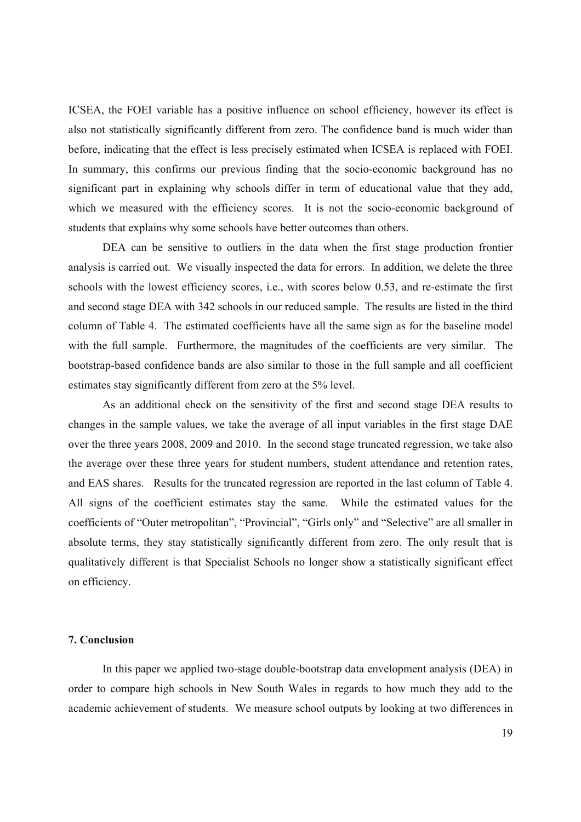ICSEA, the FOEI variable has a positive influence on school efficiency, however its effect is also not statistically significantly different from zero. The confidence band is much wider than before, indicating that the effect is less precisely estimated when ICSEA is replaced with FOEI. In summary, this confirms our previous finding that the socio-economic background has no significant part in explaining why schools differ in term of educational value that they add, which we measured with the efficiency scores. It is not the socio-economic background of students that explains why some schools have better outcomes than others.

DEA can be sensitive to outliers in the data when the first stage production frontier analysis is carried out. We visually inspected the data for errors. In addition, we delete the three schools with the lowest efficiency scores, i.e., with scores below 0.53, and re-estimate the first and second stage DEA with 342 schools in our reduced sample. The results are listed in the third column of Table 4. The estimated coefficients have all the same sign as for the baseline model with the full sample. Furthermore, the magnitudes of the coefficients are very similar. The bootstrap-based confidence bands are also similar to those in the full sample and all coefficient estimates stay significantly different from zero at the 5% level.

As an additional check on the sensitivity of the first and second stage DEA results to changes in the sample values, we take the average of all input variables in the first stage DAE over the three years 2008, 2009 and 2010. In the second stage truncated regression, we take also the average over these three years for student numbers, student attendance and retention rates, and EAS shares. Results for the truncated regression are reported in the last column of Table 4. All signs of the coefficient estimates stay the same. While the estimated values for the coefficients of "Outer metropolitan", "Provincial", "Girls only" and "Selective" are all smaller in absolute terms, they stay statistically significantly different from zero. The only result that is qualitatively different is that Specialist Schools no longer show a statistically significant effect on efficiency.

# **7. Conclusion**

In this paper we applied two-stage double-bootstrap data envelopment analysis (DEA) in order to compare high schools in New South Wales in regards to how much they add to the academic achievement of students. We measure school outputs by looking at two differences in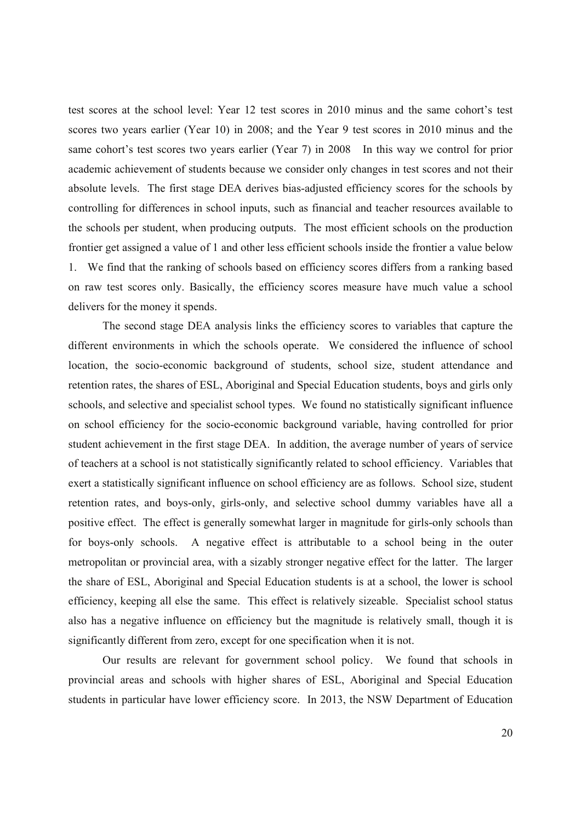test scores at the school level: Year 12 test scores in 2010 minus and the same cohort's test scores two years earlier (Year 10) in 2008; and the Year 9 test scores in 2010 minus and the same cohort's test scores two years earlier (Year 7) in 2008 In this way we control for prior academic achievement of students because we consider only changes in test scores and not their absolute levels. The first stage DEA derives bias-adjusted efficiency scores for the schools by controlling for differences in school inputs, such as financial and teacher resources available to the schools per student, when producing outputs. The most efficient schools on the production frontier get assigned a value of 1 and other less efficient schools inside the frontier a value below 1. We find that the ranking of schools based on efficiency scores differs from a ranking based on raw test scores only. Basically, the efficiency scores measure have much value a school delivers for the money it spends.

The second stage DEA analysis links the efficiency scores to variables that capture the different environments in which the schools operate. We considered the influence of school location, the socio-economic background of students, school size, student attendance and retention rates, the shares of ESL, Aboriginal and Special Education students, boys and girls only schools, and selective and specialist school types. We found no statistically significant influence on school efficiency for the socio-economic background variable, having controlled for prior student achievement in the first stage DEA. In addition, the average number of years of service of teachers at a school is not statistically significantly related to school efficiency. Variables that exert a statistically significant influence on school efficiency are as follows. School size, student retention rates, and boys-only, girls-only, and selective school dummy variables have all a positive effect. The effect is generally somewhat larger in magnitude for girls-only schools than for boys-only schools. A negative effect is attributable to a school being in the outer metropolitan or provincial area, with a sizably stronger negative effect for the latter. The larger the share of ESL, Aboriginal and Special Education students is at a school, the lower is school efficiency, keeping all else the same. This effect is relatively sizeable. Specialist school status also has a negative influence on efficiency but the magnitude is relatively small, though it is significantly different from zero, except for one specification when it is not.

Our results are relevant for government school policy. We found that schools in provincial areas and schools with higher shares of ESL, Aboriginal and Special Education students in particular have lower efficiency score. In 2013, the NSW Department of Education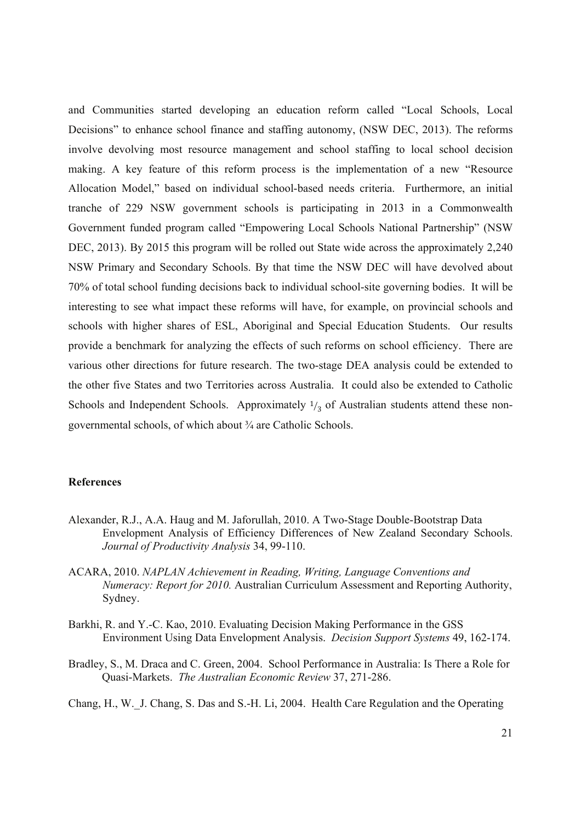and Communities started developing an education reform called "Local Schools, Local Decisions" to enhance school finance and staffing autonomy, (NSW DEC, 2013). The reforms involve devolving most resource management and school staffing to local school decision making. A key feature of this reform process is the implementation of a new "Resource Allocation Model," based on individual school-based needs criteria. Furthermore, an initial tranche of 229 NSW government schools is participating in 2013 in a Commonwealth Government funded program called "Empowering Local Schools National Partnership" (NSW DEC, 2013). By 2015 this program will be rolled out State wide across the approximately 2,240 NSW Primary and Secondary Schools. By that time the NSW DEC will have devolved about 70% of total school funding decisions back to individual school-site governing bodies. It will be interesting to see what impact these reforms will have, for example, on provincial schools and schools with higher shares of ESL, Aboriginal and Special Education Students. Our results provide a benchmark for analyzing the effects of such reforms on school efficiency. There are various other directions for future research. The two-stage DEA analysis could be extended to the other five States and two Territories across Australia. It could also be extended to Catholic Schools and Independent Schools. Approximately  $\frac{1}{3}$  of Australian students attend these nongovernmental schools, of which about ¾ are Catholic Schools.

#### **References**

- Alexander, R.J., A.A. Haug and M. Jaforullah, 2010. A Two-Stage Double-Bootstrap Data Envelopment Analysis of Efficiency Differences of New Zealand Secondary Schools. *Journal of Productivity Analysis* 34, 99-110.
- ACARA, 2010. *NAPLAN Achievement in Reading, Writing, Language Conventions and Numeracy: Report for 2010.* Australian Curriculum Assessment and Reporting Authority, Sydney.
- Barkhi, R. and Y.-C. Kao, 2010. Evaluating Decision Making Performance in the GSS Environment Using Data Envelopment Analysis. *Decision Support Systems* 49, 162-174.
- Bradley, S., M. Draca and C. Green, 2004. School Performance in Australia: Is There a Role for Quasi-Markets. *The Australian Economic Review* 37, 271-286.
- Chang, H., W.\_J. Chang, S. Das and S.-H. Li, 2004. Health Care Regulation and the Operating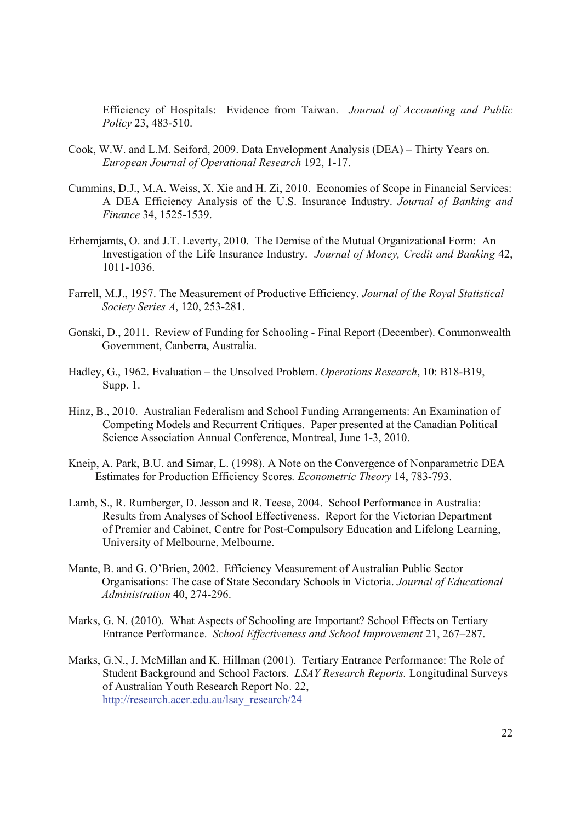Efficiency of Hospitals: Evidence from Taiwan. *Journal of Accounting and Public Policy* 23, 483-510.

- Cook, W.W. and L.M. Seiford, 2009. Data Envelopment Analysis (DEA) Thirty Years on. *European Journal of Operational Research* 192, 1-17.
- Cummins, D.J., M.A. Weiss, X. Xie and H. Zi, 2010. Economies of Scope in Financial Services: A DEA Efficiency Analysis of the U.S. Insurance Industry. *Journal of Banking and Finance* 34, 1525-1539.
- Erhemjamts, O. and J.T. Leverty, 2010. The Demise of the Mutual Organizational Form: An Investigation of the Life Insurance Industry. *Journal of Money, Credit and Banking* 42, 1011-1036.
- Farrell, M.J., 1957. The Measurement of Productive Efficiency. *Journal of the Royal Statistical Society Series A*, 120, 253-281.
- Gonski, D., 2011. Review of Funding for Schooling Final Report (December). Commonwealth Government, Canberra, Australia.
- Hadley, G., 1962. Evaluation the Unsolved Problem. *Operations Research*, 10: B18-B19, Supp. 1.
- Hinz, B., 2010. Australian Federalism and School Funding Arrangements: An Examination of Competing Models and Recurrent Critiques. Paper presented at the Canadian Political Science Association Annual Conference, Montreal, June 1-3, 2010.
- Kneip, A. Park, B.U. and Simar, L. (1998). A Note on the Convergence of Nonparametric DEA Estimates for Production Efficiency Scores*. Econometric Theory* 14, 783-793.
- Lamb, S., R. Rumberger, D. Jesson and R. Teese, 2004. School Performance in Australia: Results from Analyses of School Effectiveness. Report for the Victorian Department of Premier and Cabinet, Centre for Post-Compulsory Education and Lifelong Learning, University of Melbourne, Melbourne.
- Mante, B. and G. O'Brien, 2002. Efficiency Measurement of Australian Public Sector Organisations: The case of State Secondary Schools in Victoria. *Journal of Educational Administration* 40, 274-296.
- Marks, G. N. (2010). What Aspects of Schooling are Important? School Effects on Tertiary Entrance Performance. *School Effectiveness and School Improvement* 21, 267–287.
- Marks, G.N., J. McMillan and K. Hillman (2001). Tertiary Entrance Performance: The Role of Student Background and School Factors. *LSAY Research Reports.* Longitudinal Surveys of Australian Youth Research Report No. 22, http://research.acer.edu.au/lsay\_research/24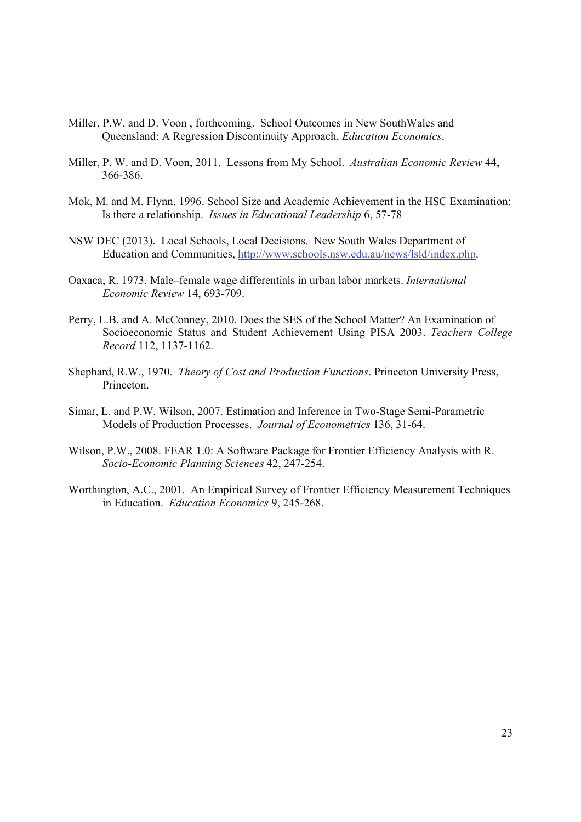- Miller, P.W. and D. Voon , forthcoming. School Outcomes in New SouthWales and Queensland: A Regression Discontinuity Approach. *Education Economics*.
- Miller, P. W. and D. Voon, 2011. Lessons from My School. *Australian Economic Review* 44, 366-386.
- Mok, M. and M. Flynn. 1996. School Size and Academic Achievement in the HSC Examination: Is there a relationship. *Issues in Educational Leadership* 6, 57-78
- NSW DEC (2013). Local Schools, Local Decisions. New South Wales Department of Education and Communities, http://www.schools.nsw.edu.au/news/lsld/index.php.
- Oaxaca, R. 1973. Male–female wage differentials in urban labor markets. *International Economic Review* 14, 693-709.
- Perry, L.B. and A. McConney, 2010. Does the SES of the School Matter? An Examination of Socioeconomic Status and Student Achievement Using PISA 2003. *Teachers College Record* 112, 1137-1162.
- Shephard, R.W., 1970. *Theory of Cost and Production Functions*. Princeton University Press, Princeton.
- Simar, L. and P.W. Wilson, 2007. Estimation and Inference in Two-Stage Semi-Parametric Models of Production Processes. *Journal of Econometrics* 136, 31-64.
- Wilson, P.W., 2008. FEAR 1.0: A Software Package for Frontier Efficiency Analysis with R. *Socio-Economic Planning Sciences* 42, 247-254.
- Worthington, A.C., 2001. An Empirical Survey of Frontier Efficiency Measurement Techniques in Education. *Education Economics* 9, 245-268.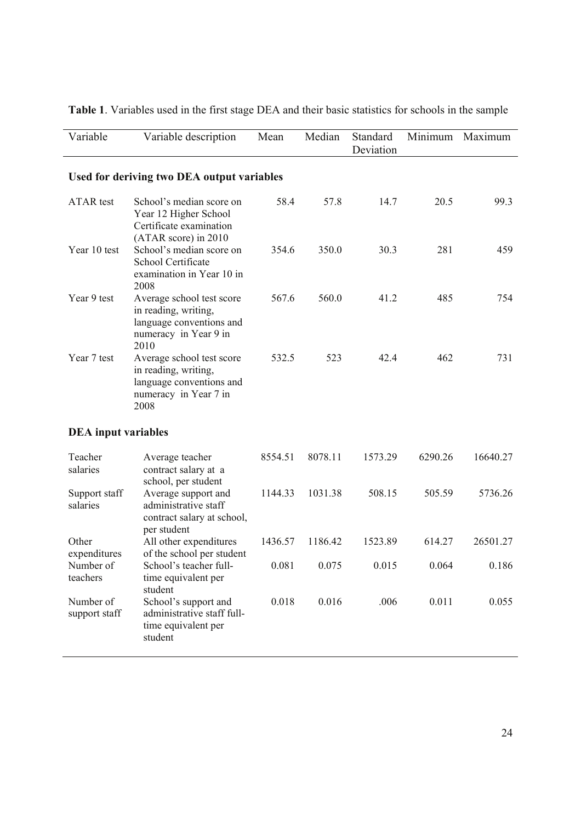| Variable                              | Variable description                                                                                           | Mean    | Median  | Standard<br>Deviation | Minimum | Maximum  |
|---------------------------------------|----------------------------------------------------------------------------------------------------------------|---------|---------|-----------------------|---------|----------|
|                                       | Used for deriving two DEA output variables                                                                     |         |         |                       |         |          |
| <b>ATAR</b> test                      | School's median score on<br>Year 12 Higher School<br>Certificate examination<br>(ATAR score) in 2010           | 58.4    | 57.8    | 14.7                  | 20.5    | 99.3     |
| Year 10 test                          | School's median score on<br>School Certificate<br>examination in Year 10 in<br>2008                            | 354.6   | 350.0   | 30.3                  | 281     | 459      |
| Year 9 test                           | Average school test score<br>in reading, writing,<br>language conventions and<br>numeracy in Year 9 in<br>2010 | 567.6   | 560.0   | 41.2                  | 485     | 754      |
| Year 7 test                           | Average school test score<br>in reading, writing,<br>language conventions and<br>numeracy in Year 7 in<br>2008 | 532.5   | 523     | 42.4                  | 462     | 731      |
| <b>DEA</b> input variables            |                                                                                                                |         |         |                       |         |          |
| Teacher<br>salaries                   | Average teacher<br>contract salary at a<br>school, per student                                                 | 8554.51 | 8078.11 | 1573.29               | 6290.26 | 16640.27 |
| Support staff<br>salaries             | Average support and<br>administrative staff<br>contract salary at school,<br>per student                       | 1144.33 | 1031.38 | 508.15                | 505.59  | 5736.26  |
| Other                                 | All other expenditures                                                                                         | 1436.57 | 1186.42 | 1523.89               | 614.27  | 26501.27 |
| expenditures<br>Number of<br>teachers | of the school per student<br>School's teacher full-<br>time equivalent per<br>student                          | 0.081   | 0.075   | 0.015                 | 0.064   | 0.186    |
| Number of<br>support staff            | School's support and<br>administrative staff full-<br>time equivalent per<br>student                           | 0.018   | 0.016   | .006                  | 0.011   | 0.055    |

**Table 1**. Variables used in the first stage DEA and their basic statistics for schools in the sample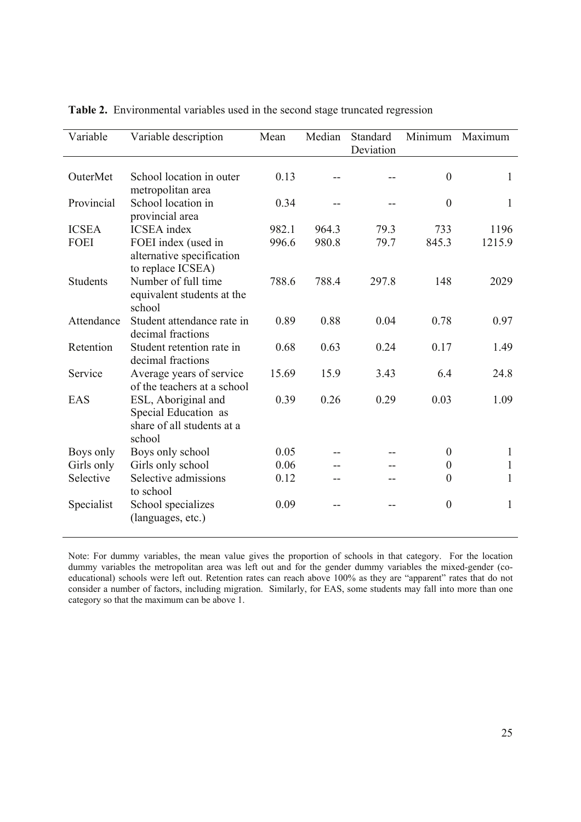| Variable        | Variable description                                                                | Mean  | Median | Standard<br>Deviation | Minimum          | Maximum      |
|-----------------|-------------------------------------------------------------------------------------|-------|--------|-----------------------|------------------|--------------|
| OuterMet        | School location in outer<br>metropolitan area                                       | 0.13  |        |                       | $\mathbf{0}$     | $\mathbf{1}$ |
| Provincial      | School location in<br>provincial area                                               | 0.34  |        |                       | $\boldsymbol{0}$ | 1            |
| <b>ICSEA</b>    | <b>ICSEA</b> index                                                                  | 982.1 | 964.3  | 79.3                  | 733              | 1196         |
| <b>FOEI</b>     | FOEI index (used in<br>alternative specification<br>to replace ICSEA)               | 996.6 | 980.8  | 79.7                  | 845.3            | 1215.9       |
| <b>Students</b> | Number of full time<br>equivalent students at the<br>school                         | 788.6 | 788.4  | 297.8                 | 148              | 2029         |
| Attendance      | Student attendance rate in<br>decimal fractions                                     | 0.89  | 0.88   | 0.04                  | 0.78             | 0.97         |
| Retention       | Student retention rate in<br>decimal fractions                                      | 0.68  | 0.63   | 0.24                  | 0.17             | 1.49         |
| Service         | Average years of service<br>of the teachers at a school                             | 15.69 | 15.9   | 3.43                  | 6.4              | 24.8         |
| EAS             | ESL, Aboriginal and<br>Special Education as<br>share of all students at a<br>school | 0.39  | 0.26   | 0.29                  | 0.03             | 1.09         |
| Boys only       | Boys only school                                                                    | 0.05  |        |                       | $\theta$         | $\mathbf{1}$ |
| Girls only      | Girls only school                                                                   | 0.06  |        |                       | $\boldsymbol{0}$ | 1            |
| Selective       | Selective admissions<br>to school                                                   | 0.12  |        |                       | $\theta$         | $\mathbf{1}$ |
| Specialist      | School specializes<br>(languages, etc.)                                             | 0.09  |        |                       | $\boldsymbol{0}$ | $\mathbf{1}$ |

**Table 2.** Environmental variables used in the second stage truncated regression

Note: For dummy variables, the mean value gives the proportion of schools in that category. For the location dummy variables the metropolitan area was left out and for the gender dummy variables the mixed-gender (coeducational) schools were left out. Retention rates can reach above 100% as they are "apparent" rates that do not consider a number of factors, including migration. Similarly, for EAS, some students may fall into more than one category so that the maximum can be above 1.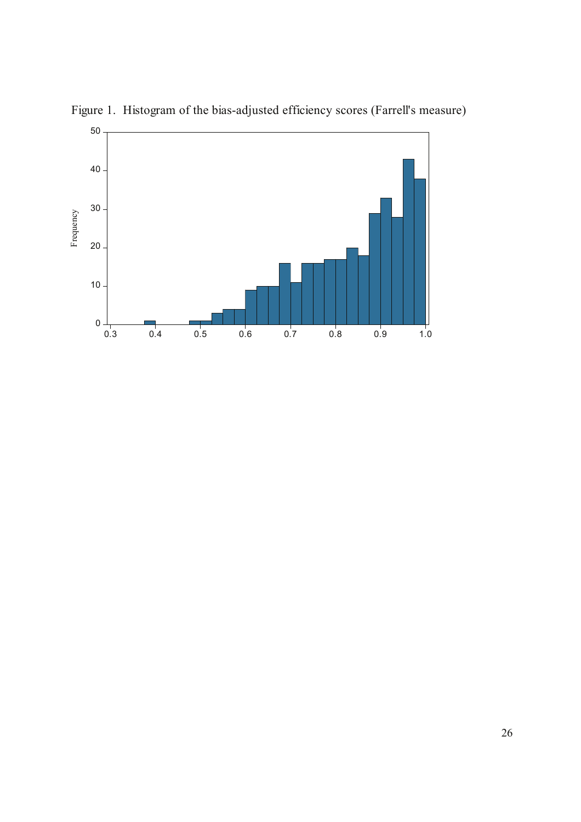

Figure 1. Histogram of the bias-adjusted efficiency scores (Farrell's measure)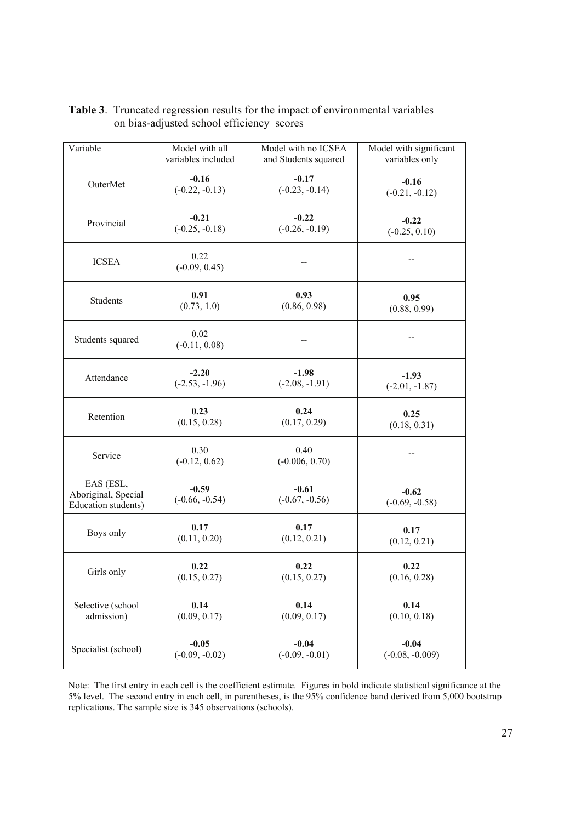| Variable                                                | Model with all              | Model with no ICSEA         | Model with significant      |  |
|---------------------------------------------------------|-----------------------------|-----------------------------|-----------------------------|--|
|                                                         | variables included          | and Students squared        | variables only              |  |
| OuterMet                                                | $-0.16$                     | $-0.17$                     | $-0.16$                     |  |
|                                                         | $(-0.22, -0.13)$            | $(-0.23, -0.14)$            | $(-0.21, -0.12)$            |  |
| Provincial                                              | $-0.21$                     | $-0.22$                     | $-0.22$                     |  |
|                                                         | $(-0.25, -0.18)$            | $(-0.26, -0.19)$            | $(-0.25, 0.10)$             |  |
| <b>ICSEA</b>                                            | 0.22<br>$(-0.09, 0.45)$     |                             |                             |  |
| Students                                                | 0.91                        | 0.93                        | 0.95                        |  |
|                                                         | (0.73, 1.0)                 | (0.86, 0.98)                | (0.88, 0.99)                |  |
| Students squared                                        | 0.02<br>$(-0.11, 0.08)$     |                             |                             |  |
| Attendance                                              | $-2.20$                     | $-1.98$                     | $-1.93$                     |  |
|                                                         | $(-2.53, -1.96)$            | $(-2.08, -1.91)$            | $(-2.01, -1.87)$            |  |
| Retention                                               | 0.23                        | 0.24                        | 0.25                        |  |
|                                                         | (0.15, 0.28)                | (0.17, 0.29)                | (0.18, 0.31)                |  |
| Service                                                 | 0.30<br>$(-0.12, 0.62)$     | 0.40<br>$(-0.006, 0.70)$    |                             |  |
| EAS (ESL,<br>Aboriginal, Special<br>Education students) | $-0.59$<br>$(-0.66, -0.54)$ | $-0.61$<br>$(-0.67, -0.56)$ | $-0.62$<br>$(-0.69, -0.58)$ |  |
| Boys only                                               | 0.17                        | 0.17                        | 0.17                        |  |
|                                                         | (0.11, 0.20)                | (0.12, 0.21)                | (0.12, 0.21)                |  |
| Girls only                                              | 0.22                        | 0.22                        | 0.22                        |  |
|                                                         | (0.15, 0.27)                | (0.15, 0.27)                | (0.16, 0.28)                |  |
| Selective (school                                       | 0.14                        | 0.14                        | 0.14                        |  |
| admission)                                              | (0.09, 0.17)                | (0.09, 0.17)                | (0.10, 0.18)                |  |
| Specialist (school)                                     | $-0.05$                     | $-0.04$                     | $-0.04$                     |  |
|                                                         | $(-0.09, -0.02)$            | $(-0.09, -0.01)$            | $(-0.08, -0.009)$           |  |

# **Table 3**. Truncated regression results for the impact of environmental variables on bias-adjusted school efficiency scores

Note: The first entry in each cell is the coefficient estimate. Figures in bold indicate statistical significance at the 5% level. The second entry in each cell, in parentheses, is the 95% confidence band derived from 5,000 bootstrap replications. The sample size is 345 observations (schools).